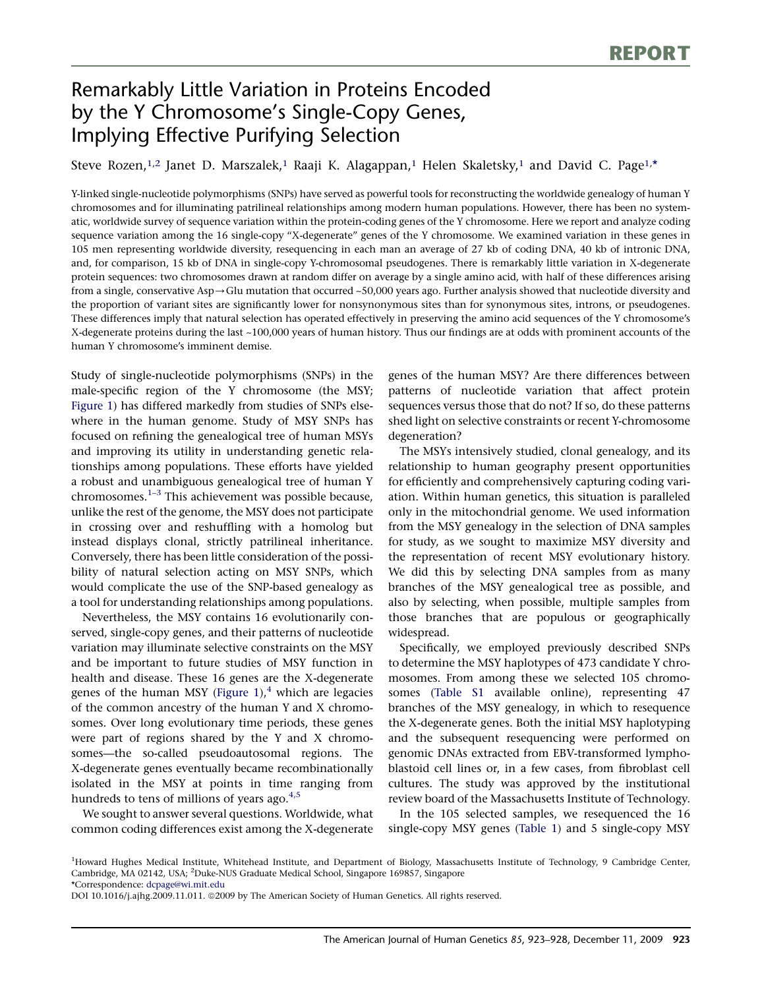# Remarkably Little Variation in Proteins Encoded by the Y Chromosome's Single-Copy Genes, Implying Effective Purifying Selection

Steve Rozen, $^{1,2}$  Janet D. Marszalek, $^1$  Raaji K. Alagappan, $^1$  Helen Skaletsky, $^1$  and David C. Page $^{1,*}$ 

Y-linked single-nucleotide polymorphisms (SNPs) have served as powerful tools for reconstructing the worldwide genealogy of human Y chromosomes and for illuminating patrilineal relationships among modern human populations. However, there has been no systematic, worldwide survey of sequence variation within the protein-coding genes of the Y chromosome. Here we report and analyze coding sequence variation among the 16 single-copy ''X-degenerate'' genes of the Y chromosome. We examined variation in these genes in 105 men representing worldwide diversity, resequencing in each man an average of 27 kb of coding DNA, 40 kb of intronic DNA, and, for comparison, 15 kb of DNA in single-copy Y-chromosomal pseudogenes. There is remarkably little variation in X-degenerate protein sequences: two chromosomes drawn at random differ on average by a single amino acid, with half of these differences arising from a single, conservative Asp $\rightarrow$ Glu mutation that occurred ~50,000 years ago. Further analysis showed that nucleotide diversity and the proportion of variant sites are significantly lower for nonsynonymous sites than for synonymous sites, introns, or pseudogenes. These differences imply that natural selection has operated effectively in preserving the amino acid sequences of the Y chromosome's X-degenerate proteins during the last ~100,000 years of human history. Thus our findings are at odds with prominent accounts of the human Y chromosome's imminent demise.

Study of single-nucleotide polymorphisms (SNPs) in the male-specific region of the Y chromosome (the MSY; [Figure 1\)](#page-1-0) has differed markedly from studies of SNPs elsewhere in the human genome. Study of MSY SNPs has focused on refining the genealogical tree of human MSYs and improving its utility in understanding genetic relationships among populations. These efforts have yielded a robust and unambiguous genealogical tree of human Y chromosomes. $1-3$  This achievement was possible because, unlike the rest of the genome, the MSY does not participate in crossing over and reshuffling with a homolog but instead displays clonal, strictly patrilineal inheritance. Conversely, there has been little consideration of the possibility of natural selection acting on MSY SNPs, which would complicate the use of the SNP-based genealogy as a tool for understanding relationships among populations.

Nevertheless, the MSY contains 16 evolutionarily conserved, single-copy genes, and their patterns of nucleotide variation may illuminate selective constraints on the MSY and be important to future studies of MSY function in health and disease. These 16 genes are the X-degenerate genes of the human MSY (Figure  $1$ ),<sup>[4](#page-5-0)</sup> which are legacies of the common ancestry of the human Y and X chromosomes. Over long evolutionary time periods, these genes were part of regions shared by the Y and X chromosomes—the so-called pseudoautosomal regions. The X-degenerate genes eventually became recombinationally isolated in the MSY at points in time ranging from hundreds to tens of millions of years ago. $4.5$ 

We sought to answer several questions. Worldwide, what common coding differences exist among the X-degenerate genes of the human MSY? Are there differences between patterns of nucleotide variation that affect protein sequences versus those that do not? If so, do these patterns shed light on selective constraints or recent Y-chromosome degeneration?

The MSYs intensively studied, clonal genealogy, and its relationship to human geography present opportunities for efficiently and comprehensively capturing coding variation. Within human genetics, this situation is paralleled only in the mitochondrial genome. We used information from the MSY genealogy in the selection of DNA samples for study, as we sought to maximize MSY diversity and the representation of recent MSY evolutionary history. We did this by selecting DNA samples from as many branches of the MSY genealogical tree as possible, and also by selecting, when possible, multiple samples from those branches that are populous or geographically widespread.

Specifically, we employed previously described SNPs to determine the MSY haplotypes of 473 candidate Y chromosomes. From among these we selected 105 chromosomes (Table S1 available online), representing 47 branches of the MSY genealogy, in which to resequence the X-degenerate genes. Both the initial MSY haplotyping and the subsequent resequencing were performed on genomic DNAs extracted from EBV-transformed lymphoblastoid cell lines or, in a few cases, from fibroblast cell cultures. The study was approved by the institutional review board of the Massachusetts Institute of Technology.

In the 105 selected samples, we resequenced the 16 single-copy MSY genes ([Table 1\)](#page-1-0) and 5 single-copy MSY

<sup>1</sup>Howard Hughes Medical Institute, Whitehead Institute, and Department of Biology, Massachusetts Institute of Technology, 9 Cambridge Center, Cambridge, MA 02142, USA; <sup>2</sup>Duke-NUS Graduate Medical School, Singapore 169857, Singapore \*Correspondence: [dcpage@wi.mit.edu](mailto:dcpage@wi.mit.edu)

DOI 10.1016/j.ajhg.2009.11.011. @2009 by The American Society of Human Genetics. All rights reserved.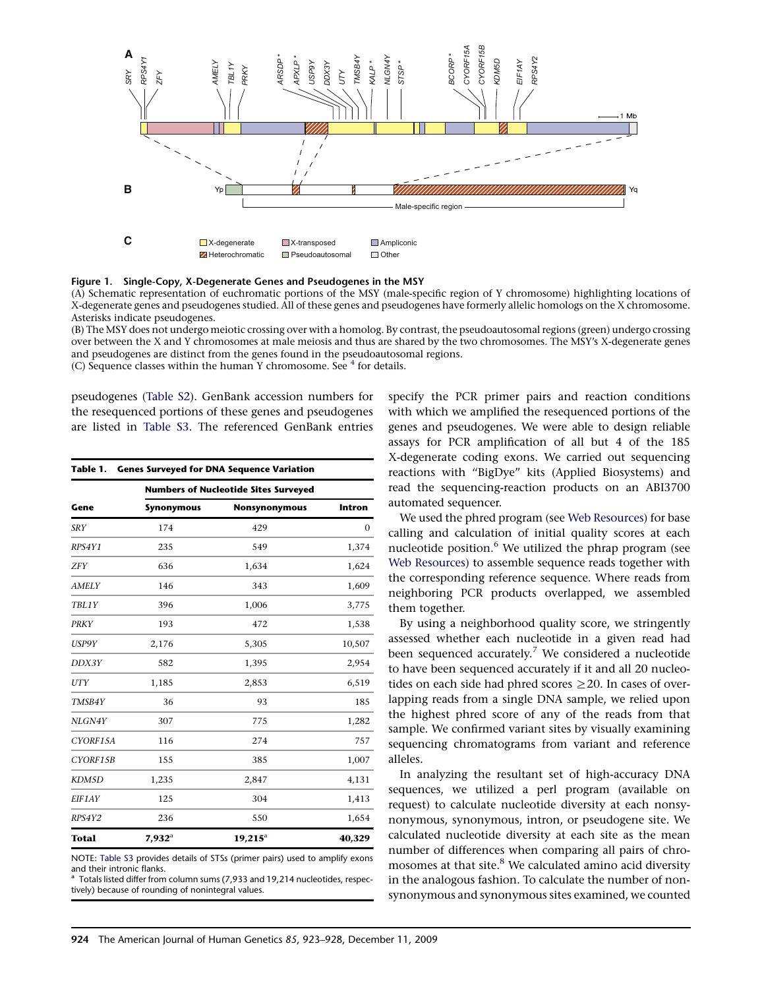<span id="page-1-0"></span>



(A) Schematic representation of euchromatic portions of the MSY (male-specific region of Y chromosome) highlighting locations of X-degenerate genes and pseudogenes studied. All of these genes and pseudogenes have formerly allelic homologs on the X chromosome. Asterisks indicate pseudogenes.

(B) The MSY does not undergo meiotic crossing over with a homolog. By contrast, the pseudoautosomal regions (green) undergo crossing over between the X and Y chromosomes at male meiosis and thus are shared by the two chromosomes. The MSY's X-degenerate genes and pseudogenes are distinct from the genes found in the pseudoautosomal regions. (C) Sequence classes within the human Y chromosome. See  $4$  for details.

pseudogenes (Table S2). GenBank accession numbers for the resequenced portions of these genes and pseudogenes are listed in Table S3. The referenced GenBank entries

| Table 1.<br><b>Genes Surveyed for DNA Sequence Variation</b> |                                             |                      |              |  |  |  |
|--------------------------------------------------------------|---------------------------------------------|----------------------|--------------|--|--|--|
| Gene                                                         | <b>Numbers of Nucleotide Sites Surveyed</b> |                      |              |  |  |  |
|                                                              | <b>Synonymous</b>                           | <b>Nonsynonymous</b> | Intron       |  |  |  |
| <b>SRY</b>                                                   | 174                                         | 429                  | $\mathbf{0}$ |  |  |  |
| RPS4Y1                                                       | 235                                         | 549                  | 1,374        |  |  |  |
| <b>ZFY</b>                                                   | 636                                         | 1,634                | 1,624        |  |  |  |
| <b>AMELY</b>                                                 | 146                                         | 343                  | 1,609        |  |  |  |
| TBL1Y                                                        | 396                                         | 1,006                | 3,775        |  |  |  |
| <b>PRKY</b>                                                  | 193                                         | 472                  | 1,538        |  |  |  |
| USP9Y                                                        | 2,176                                       | 5,305                | 10,507       |  |  |  |
| DDX3Y                                                        | 582                                         | 1,395                | 2,954        |  |  |  |
| UTY                                                          | 1,185                                       | 2,853                | 6,519        |  |  |  |
| TMSB4Y                                                       | 36                                          | 93                   | 185          |  |  |  |
| NLGN4Y                                                       | 307                                         | 775                  | 1,282        |  |  |  |
| CYORF15A                                                     | 116                                         | 274                  | 757          |  |  |  |
| CYORF15B                                                     | 155                                         | 385                  | 1,007        |  |  |  |
| KDM5D                                                        | 1,235                                       | 2,847                | 4,131        |  |  |  |
| <b>EIF1AY</b>                                                | 125                                         | 304                  | 1,413        |  |  |  |
| RPS4Y2                                                       | 236                                         | 550                  | 1,654        |  |  |  |
| <b>Total</b>                                                 | $7,932^{\rm a}$                             | $19,215^a$           | 40,329       |  |  |  |

NOTE: Table S3 provides details of STSs (primer pairs) used to amplify exons and their intronic flanks.

<sup>a</sup> Totals listed differ from column sums (7,933 and 19,214 nucleotides, respectively) because of rounding of nonintegral values.

specify the PCR primer pairs and reaction conditions with which we amplified the resequenced portions of the genes and pseudogenes. We were able to design reliable assays for PCR amplification of all but 4 of the 185 X-degenerate coding exons. We carried out sequencing reactions with ''BigDye'' kits (Applied Biosystems) and read the sequencing-reaction products on an ABI3700 automated sequencer.

We used the phred program (see [Web Resources\)](#page-5-0) for base calling and calculation of initial quality scores at each nucleotide position.<sup>[6](#page-5-0)</sup> We utilized the phrap program (see [Web Resources\)](#page-5-0) to assemble sequence reads together with the corresponding reference sequence. Where reads from neighboring PCR products overlapped, we assembled them together.

By using a neighborhood quality score, we stringently assessed whether each nucleotide in a given read had been sequenced accurately.<sup>[7](#page-5-0)</sup> We considered a nucleotide to have been sequenced accurately if it and all 20 nucleotides on each side had phred scores  $\geq$ 20. In cases of overlapping reads from a single DNA sample, we relied upon the highest phred score of any of the reads from that sample. We confirmed variant sites by visually examining sequencing chromatograms from variant and reference alleles.

In analyzing the resultant set of high-accuracy DNA sequences, we utilized a perl program (available on request) to calculate nucleotide diversity at each nonsynonymous, synonymous, intron, or pseudogene site. We calculated nucleotide diversity at each site as the mean number of differences when comparing all pairs of chro-mosomes at that site.<sup>[8](#page-5-0)</sup> We calculated amino acid diversity in the analogous fashion. To calculate the number of nonsynonymous and synonymous sites examined, we counted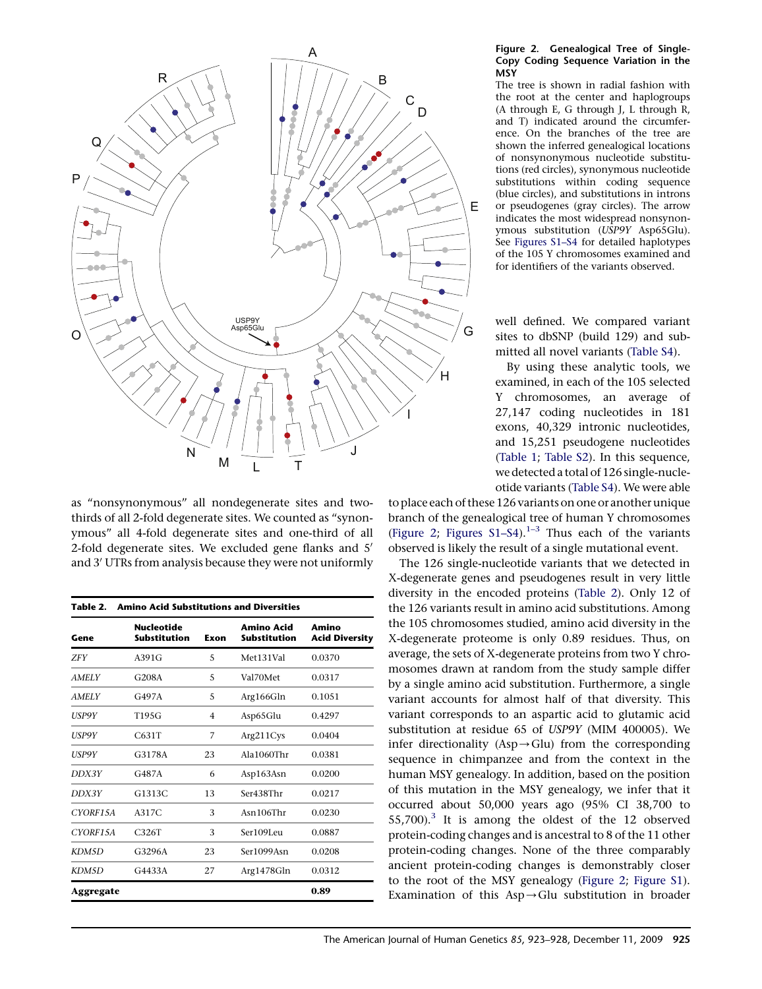

as ''nonsynonymous'' all nondegenerate sites and twothirds of all 2-fold degenerate sites. We counted as ''synonymous'' all 4-fold degenerate sites and one-third of all 2-fold degenerate sites. We excluded gene flanks and 5' and 3' UTRs from analysis because they were not uniformly

| <b>Amino Acid Substitutions and Diversities</b><br>Table 2. |                                          |                |                                   |                                |  |  |
|-------------------------------------------------------------|------------------------------------------|----------------|-----------------------------------|--------------------------------|--|--|
| Gene                                                        | <b>Nucleotide</b><br><b>Substitution</b> | Exon           | Amino Acid<br><b>Substitution</b> | Amino<br><b>Acid Diversity</b> |  |  |
| <b>ZFY</b>                                                  | A391G                                    | 5              | Met131Val                         | 0.0370                         |  |  |
| <b>AMELY</b>                                                | G208A                                    | 5              | Val70Met                          | 0.0317                         |  |  |
| <b>AMELY</b>                                                | G497A                                    | 5              | Arg166Gln                         | 0.1051                         |  |  |
| USP9Y                                                       | T195G                                    | $\overline{4}$ | Asp65Glu                          | 0.4297                         |  |  |
| <b>USP9Y</b>                                                | C631T                                    | 7              | Arg211Cys                         | 0.0404                         |  |  |
| USP9Y                                                       | G3178A                                   | 23             | Ala1060Thr                        | 0.0381                         |  |  |
| DDX3Y                                                       | G487A                                    | 6              | Asp163Asn                         | 0.0200                         |  |  |
| DDX3Y                                                       | G1313C                                   | 13             | Ser438Thr                         | 0.0217                         |  |  |
| CYORF15A                                                    | A317C                                    | 3              | $Asn106$ Thr                      | 0.0230                         |  |  |
| CYORF15A                                                    | C326T                                    | 3              | Ser109Leu                         | 0.0887                         |  |  |
| KDM5D                                                       | G3296A                                   | 23             | Ser1099Asn                        | 0.0208                         |  |  |
| KDM5D                                                       | G4433A                                   | 27             | Arg1478Gln                        | 0.0312                         |  |  |
| Aggregate                                                   |                                          |                |                                   | 0.89                           |  |  |

#### Figure 2. Genealogical Tree of Single-Copy Coding Sequence Variation in the **MSY**

The tree is shown in radial fashion with the root at the center and haplogroups (A through E, G through J, L through R, and T) indicated around the circumference. On the branches of the tree are shown the inferred genealogical locations of nonsynonymous nucleotide substitutions (red circles), synonymous nucleotide substitutions within coding sequence (blue circles), and substitutions in introns or pseudogenes (gray circles). The arrow indicates the most widespread nonsynonymous substitution (USP9Y Asp65Glu). See Figures S1–S4 for detailed haplotypes of the 105 Y chromosomes examined and for identifiers of the variants observed.

well defined. We compared variant sites to dbSNP (build 129) and submitted all novel variants (Table S4).

By using these analytic tools, we examined, in each of the 105 selected Y chromosomes, an average of 27,147 coding nucleotides in 181 exons, 40,329 intronic nucleotides, and 15,251 pseudogene nucleotides [\(Table 1;](#page-1-0) Table S2). In this sequence, we detected a total of 126 single-nucleotide variants (Table S4). We were able

to place each of these 126 variants on one or another unique branch of the genealogical tree of human Y chromosomes (Figure 2; Figures  $S1-S4$ ).<sup>1-3</sup> Thus each of the variants observed is likely the result of a single mutational event.

The 126 single-nucleotide variants that we detected in X-degenerate genes and pseudogenes result in very little diversity in the encoded proteins (Table 2). Only 12 of the 126 variants result in amino acid substitutions. Among the 105 chromosomes studied, amino acid diversity in the X-degenerate proteome is only 0.89 residues. Thus, on average, the sets of X-degenerate proteins from two Y chromosomes drawn at random from the study sample differ by a single amino acid substitution. Furthermore, a single variant accounts for almost half of that diversity. This variant corresponds to an aspartic acid to glutamic acid substitution at residue 65 of USP9Y (MIM 400005). We infer directionality (Asp $\rightarrow$ Glu) from the corresponding sequence in chimpanzee and from the context in the human MSY genealogy. In addition, based on the position of this mutation in the MSY genealogy, we infer that it occurred about 50,000 years ago (95% CI 38,700 to 55,700).<sup>[3](#page-5-0)</sup> It is among the oldest of the 12 observed protein-coding changes and is ancestral to 8 of the 11 other protein-coding changes. None of the three comparably ancient protein-coding changes is demonstrably closer to the root of the MSY genealogy (Figure 2; Figure S1). Examination of this  $Asp \rightarrow Glu$  substitution in broader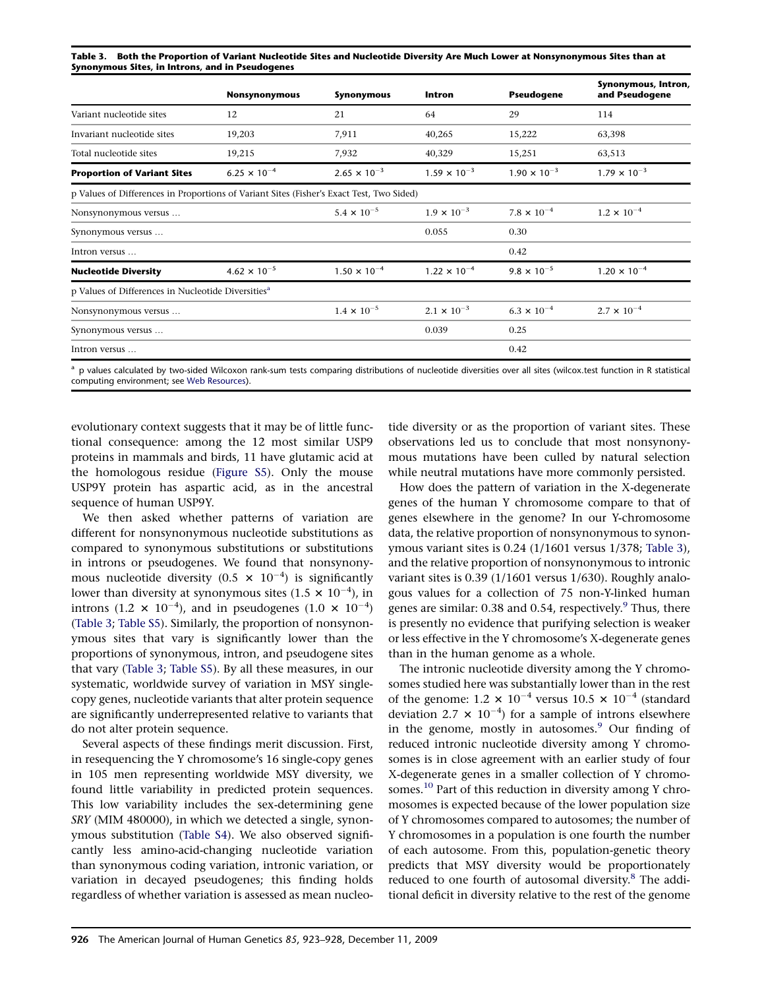Table 3. Both the Proportion of Variant Nucleotide Sites and Nucleotide Diversity Are Much Lower at Nonsynonymous Sites than at Synonymous Sites, in Introns, and in Pseudogenes

|                                                                                          | Nonsynonymous         | Synonymous            | Intron                | <b>Pseudogene</b>     | Synonymous, Intron,<br>and Pseudogene |
|------------------------------------------------------------------------------------------|-----------------------|-----------------------|-----------------------|-----------------------|---------------------------------------|
| Variant nucleotide sites                                                                 | 12                    | 21                    | 64                    | 29                    | 114                                   |
| Invariant nucleotide sites                                                               | 19,203                | 7,911                 | 40,265                | 15,222                | 63,398                                |
| Total nucleotide sites                                                                   | 19,215                | 7,932                 | 40,329                | 15,251                | 63,513                                |
| <b>Proportion of Variant Sites</b>                                                       | $6.25 \times 10^{-4}$ | $2.65 \times 10^{-3}$ | $1.59 \times 10^{-3}$ | $1.90 \times 10^{-3}$ | $1.79 \times 10^{-3}$                 |
| p Values of Differences in Proportions of Variant Sites (Fisher's Exact Test, Two Sided) |                       |                       |                       |                       |                                       |
| Nonsynonymous versus                                                                     |                       | $5.4 \times 10^{-5}$  | $1.9 \times 10^{-3}$  | $7.8 \times 10^{-4}$  | $1.2 \times 10^{-4}$                  |
| Synonymous versus                                                                        |                       |                       | 0.055                 | 0.30                  |                                       |
| Intron versus                                                                            |                       |                       |                       | 0.42                  |                                       |
| <b>Nucleotide Diversity</b>                                                              | $4.62 \times 10^{-5}$ | $1.50 \times 10^{-4}$ | $1.22 \times 10^{-4}$ | $9.8 \times 10^{-5}$  | $1.20 \times 10^{-4}$                 |
| p Values of Differences in Nucleotide Diversities <sup>a</sup>                           |                       |                       |                       |                       |                                       |
| Nonsynonymous versus                                                                     |                       | $1.4 \times 10^{-5}$  | $2.1 \times 10^{-3}$  | $6.3 \times 10^{-4}$  | $2.7 \times 10^{-4}$                  |
| Synonymous versus                                                                        |                       |                       | 0.039                 | 0.25                  |                                       |
| Intron versus                                                                            |                       |                       |                       | 0.42                  |                                       |

<sup>a</sup> p values calculated by two-sided Wilcoxon rank-sum tests comparing distributions of nucleotide diversities over all sites (wilcox.test function in R statistical computing environment; see [Web Resources\)](#page-5-0).

evolutionary context suggests that it may be of little functional consequence: among the 12 most similar USP9 proteins in mammals and birds, 11 have glutamic acid at the homologous residue (Figure S5). Only the mouse USP9Y protein has aspartic acid, as in the ancestral sequence of human USP9Y.

We then asked whether patterns of variation are different for nonsynonymous nucleotide substitutions as compared to synonymous substitutions or substitutions in introns or pseudogenes. We found that nonsynonymous nucleotide diversity (0.5  $\times$  10<sup>-4</sup>) is significantly lower than diversity at synonymous sites  $(1.5 \times 10^{-4})$ , in introns (1.2  $\times$  10<sup>-4</sup>), and in pseudogenes (1.0  $\times$  10<sup>-4</sup>) (Table 3; Table S5). Similarly, the proportion of nonsynonymous sites that vary is significantly lower than the proportions of synonymous, intron, and pseudogene sites that vary (Table 3; Table S5). By all these measures, in our systematic, worldwide survey of variation in MSY singlecopy genes, nucleotide variants that alter protein sequence are significantly underrepresented relative to variants that do not alter protein sequence.

Several aspects of these findings merit discussion. First, in resequencing the Y chromosome's 16 single-copy genes in 105 men representing worldwide MSY diversity, we found little variability in predicted protein sequences. This low variability includes the sex-determining gene SRY (MIM 480000), in which we detected a single, synonymous substitution (Table S4). We also observed significantly less amino-acid-changing nucleotide variation than synonymous coding variation, intronic variation, or variation in decayed pseudogenes; this finding holds regardless of whether variation is assessed as mean nucleotide diversity or as the proportion of variant sites. These observations led us to conclude that most nonsynonymous mutations have been culled by natural selection while neutral mutations have more commonly persisted.

How does the pattern of variation in the X-degenerate genes of the human Y chromosome compare to that of genes elsewhere in the genome? In our Y-chromosome data, the relative proportion of nonsynonymous to synonymous variant sites is 0.24 (1/1601 versus 1/378; Table 3), and the relative proportion of nonsynonymous to intronic variant sites is 0.39 (1/1601 versus 1/630). Roughly analogous values for a collection of 75 non-Y-linked human genes are similar:  $0.38$  and  $0.54$ , respectively.<sup>9</sup> Thus, there is presently no evidence that purifying selection is weaker or less effective in the Y chromosome's X-degenerate genes than in the human genome as a whole.

The intronic nucleotide diversity among the Y chromosomes studied here was substantially lower than in the rest of the genome: 1.2  $\times$  10<sup>-4</sup> versus 10.5  $\times$  10<sup>-4</sup> (standard deviation 2.7  $\times$  10<sup>-4</sup>) for a sample of introns elsewhere in the genome, mostly in autosomes. $9$  Our finding of reduced intronic nucleotide diversity among Y chromosomes is in close agreement with an earlier study of four X-degenerate genes in a smaller collection of Y chromosomes.<sup>10</sup> Part of this reduction in diversity among Y chromosomes is expected because of the lower population size of Y chromosomes compared to autosomes; the number of Y chromosomes in a population is one fourth the number of each autosome. From this, population-genetic theory predicts that MSY diversity would be proportionately reduced to one fourth of autosomal diversity.<sup>8</sup> The additional deficit in diversity relative to the rest of the genome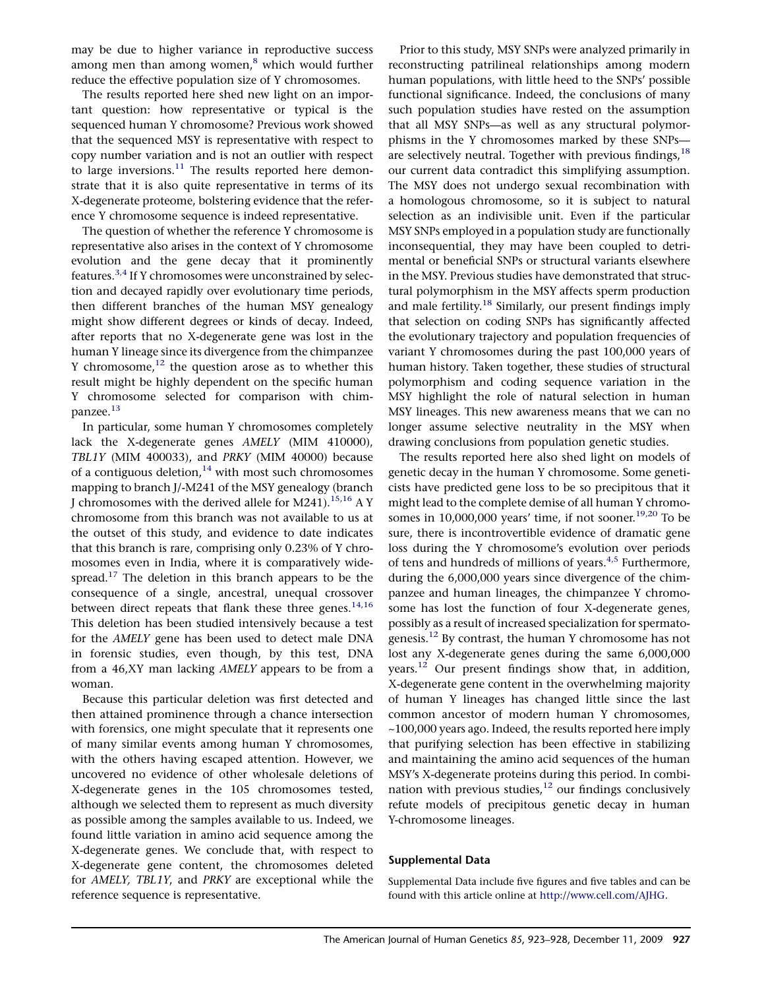may be due to higher variance in reproductive success among men than among women, $<sup>8</sup>$  $<sup>8</sup>$  $<sup>8</sup>$  which would further</sup> reduce the effective population size of Y chromosomes.

The results reported here shed new light on an important question: how representative or typical is the sequenced human Y chromosome? Previous work showed that the sequenced MSY is representative with respect to copy number variation and is not an outlier with respect to large inversions. $^{11}$  $^{11}$  $^{11}$  The results reported here demonstrate that it is also quite representative in terms of its X-degenerate proteome, bolstering evidence that the reference Y chromosome sequence is indeed representative.

The question of whether the reference Y chromosome is representative also arises in the context of Y chromosome evolution and the gene decay that it prominently features.<sup>[3,4](#page-5-0)</sup> If Y chromosomes were unconstrained by selection and decayed rapidly over evolutionary time periods, then different branches of the human MSY genealogy might show different degrees or kinds of decay. Indeed, after reports that no X-degenerate gene was lost in the human Y lineage since its divergence from the chimpanzee Y chromosome, $^{12}$  $^{12}$  $^{12}$  the question arose as to whether this result might be highly dependent on the specific human Y chromosome selected for comparison with chim-panzee.<sup>[13](#page-5-0)</sup>

In particular, some human Y chromosomes completely lack the X-degenerate genes AMELY (MIM 410000), TBL1Y (MIM 400033), and PRKY (MIM 40000) because of a contiguous deletion, $14$  with most such chromosomes mapping to branch J/-M241 of the MSY genealogy (branch J chromosomes with the derived allele for M241).<sup>[15,16](#page-5-0)</sup> A Y chromosome from this branch was not available to us at the outset of this study, and evidence to date indicates that this branch is rare, comprising only 0.23% of Y chromosomes even in India, where it is comparatively wide-spread.<sup>[17](#page-5-0)</sup> The deletion in this branch appears to be the consequence of a single, ancestral, unequal crossover between direct repeats that flank these three genes. $^{14,16}$  $^{14,16}$  $^{14,16}$ This deletion has been studied intensively because a test for the AMELY gene has been used to detect male DNA in forensic studies, even though, by this test, DNA from a 46,XY man lacking AMELY appears to be from a woman.

Because this particular deletion was first detected and then attained prominence through a chance intersection with forensics, one might speculate that it represents one of many similar events among human Y chromosomes, with the others having escaped attention. However, we uncovered no evidence of other wholesale deletions of X-degenerate genes in the 105 chromosomes tested, although we selected them to represent as much diversity as possible among the samples available to us. Indeed, we found little variation in amino acid sequence among the X-degenerate genes. We conclude that, with respect to X-degenerate gene content, the chromosomes deleted for AMELY, TBL1Y, and PRKY are exceptional while the reference sequence is representative.

Prior to this study, MSY SNPs were analyzed primarily in reconstructing patrilineal relationships among modern human populations, with little heed to the SNPs' possible functional significance. Indeed, the conclusions of many such population studies have rested on the assumption that all MSY SNPs—as well as any structural polymorphisms in the Y chromosomes marked by these SNPs are selectively neutral. Together with previous findings,  $18$ our current data contradict this simplifying assumption. The MSY does not undergo sexual recombination with a homologous chromosome, so it is subject to natural selection as an indivisible unit. Even if the particular MSY SNPs employed in a population study are functionally inconsequential, they may have been coupled to detrimental or beneficial SNPs or structural variants elsewhere in the MSY. Previous studies have demonstrated that structural polymorphism in the MSY affects sperm production and male fertility.<sup>[18](#page-5-0)</sup> Similarly, our present findings imply that selection on coding SNPs has significantly affected the evolutionary trajectory and population frequencies of variant Y chromosomes during the past 100,000 years of human history. Taken together, these studies of structural polymorphism and coding sequence variation in the MSY highlight the role of natural selection in human MSY lineages. This new awareness means that we can no longer assume selective neutrality in the MSY when drawing conclusions from population genetic studies.

The results reported here also shed light on models of genetic decay in the human Y chromosome. Some geneticists have predicted gene loss to be so precipitous that it might lead to the complete demise of all human Y chromosomes in  $10,000,000$  years' time, if not sooner.<sup>[19,20](#page-5-0)</sup> To be sure, there is incontrovertible evidence of dramatic gene loss during the Y chromosome's evolution over periods of tens and hundreds of millions of years.<sup>[4,5](#page-5-0)</sup> Furthermore, during the 6,000,000 years since divergence of the chimpanzee and human lineages, the chimpanzee Y chromosome has lost the function of four X-degenerate genes, possibly as a result of increased specialization for spermatogenesis[.12](#page-5-0) By contrast, the human Y chromosome has not lost any X-degenerate genes during the same 6,000,000 years.[12](#page-5-0) Our present findings show that, in addition, X-degenerate gene content in the overwhelming majority of human Y lineages has changed little since the last common ancestor of modern human Y chromosomes, ~100,000 years ago. Indeed, the results reported here imply that purifying selection has been effective in stabilizing and maintaining the amino acid sequences of the human MSY's X-degenerate proteins during this period. In combination with previous studies, $12$  our findings conclusively refute models of precipitous genetic decay in human Y-chromosome lineages.

## Supplemental Data

Supplemental Data include five figures and five tables and can be found with this article online at [http://www.cell.com/AJHG.](http://www.cell.com/AJHG)